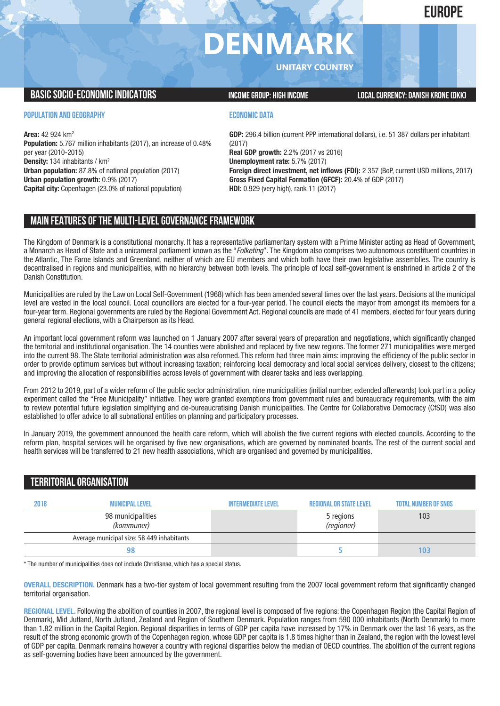## **EUROPE**

# **DENMARK**

**UNITARY COUNTRY**

### **BASICSOCIO-ECONOMICINDICATORS INCOMEGROUP: HIGH INCOME LOCALCURRENCY: DANISH KRONE(DKK)**

#### **POPULATION AND GEOGRAPHY**

**Area:** 42 924 km2 **Population:** 5.767 million inhabitants (2017), an increase of 0.48% per year (2010-2015) **Density:** 134 inhabitants / km2 **Urban population:** 87.8% of national population (2017) **Urban population growth:** 0.9% (2017) **Capital city:** Copenhagen (23.0% of national population)

#### **ECONOMIC DATA**

**GDP:** 296.4 billion (current PPP international dollars), i.e. 51 387 dollars per inhabitant (2017) **Real GDP growth:** 2.2% (2017 vs 2016) **Unemployment rate:** 5.7% (2017) **Foreign direct investment, net inflows (FDI):** 2 357 (BoP, current USD millions, 2017) **Gross Fixed Capital Formation (GFCF):** 20.4% of GDP (2017) **HDI:** 0.929 (very high), rank 11 (2017)

## **MAIN FEATURESOFTHE MULTI-LEVELGOVERNANCEFRAMEWORK**

The Kingdom of Denmark is a constitutional monarchy. It has a representative parliamentary system with a Prime Minister acting as Head of Government, a Monarch as Head of State and a unicameral parliament known as the "*Folketing*". The Kingdom also comprises two autonomous constituent countries in the Atlantic, The Faroe Islands and Greenland, neither of which are EU members and which both have their own legislative assemblies. The country is decentralised in regions and municipalities, with no hierarchy between both levels. The principle of local self-government is enshrined in article 2 of the Danish Constitution.

Municipalities are ruled by the Law on Local Self-Government (1968) which has been amended several times over the last years. Decisions at the municipal level are vested in the local council. Local councillors are elected for a four-year period. The council elects the mayor from amongst its members for a four-year term. Regional governments are ruled by the Regional Government Act. Regional councils are made of 41 members, elected for four years during general regional elections, with a Chairperson as its Head.

An important local government reform was launched on 1 January 2007 after several years of preparation and negotiations, which significantly changed the territorial and institutional organisation. The 14 counties were abolished and replaced by five new regions. The former 271 municipalities were merged into the current 98. The State territorial administration was also reformed. This reform had three main aims: improving the efficiency of the public sector in order to provide optimum services but without increasing taxation; reinforcing local democracy and local social services delivery, closest to the citizens; and improving the allocation of responsibilities across levels of government with clearer tasks and less overlapping.

From 2012 to 2019, part of a wider reform of the public sector administration, nine municipalities (initial number, extended afterwards) took part in a policy experiment called the "Free Municipality" initiative. They were granted exemptions from government rules and bureaucracy requirements, with the aim to review potential future legislation simplifying and de-bureaucratising Danish municipalities. The Centre for Collaborative Democracy (CfSD) was also established to offer advice to all subnational entities on planning and participatory processes.

In January 2019, the government announced the health care reform, which will abolish the five current regions with elected councils. According to the reform plan, hospital services will be organised by five new organisations, which are governed by nominated boards. The rest of the current social and health services will be transferred to 21 new health associations, which are organised and governed by municipalities.

## **TERRITORIALORGANISATION**

| 2018 | <b>MUNICIPAL LEVEL</b>                     | <b>INTERMEDIATE LEVEL</b> | <b>REGIONAL OR STATE LEVEL</b> | <b>TOTAL NUMBER OF SNGS</b> |
|------|--------------------------------------------|---------------------------|--------------------------------|-----------------------------|
|      | 98 municipalities<br>(kommuner)            |                           | 5 regions<br>(regioner)        | 103                         |
|      | Average municipal size: 58 449 inhabitants |                           |                                |                             |
|      |                                            |                           |                                | 103                         |

\* The number of municipalities does not include Christiansø, which has a special status.

**OVERALL DESCRIPTION.** Denmark has a two-tier system of local government resulting from the 2007 local government reform that significantly changed territorial organisation.

**REGIONAL LEVEL.** Following the abolition of counties in 2007, the regional level is composed of five regions: the Copenhagen Region (the Capital Region of Denmark), Mid Jutland, North Jutland, Zealand and Region of Southern Denmark. Population ranges from 590 000 inhabitants (North Denmark) to more than 1.82 million in the Capital Region. Regional disparities in terms of GDP per capita have increased by 17% in Denmark over the last 16 years, as the result of the strong economic growth of the Copenhagen region, whose GDP per capita is 1.8 times higher than in Zealand, the region with the lowest level of GDP per capita. Denmark remains however a country with regional disparities below the median of OECD countries. The abolition of the current regions as self-governing bodies have been announced by the government.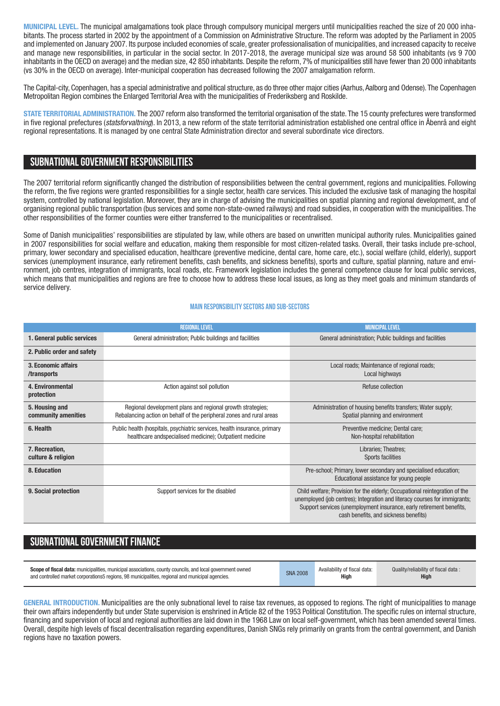**MUNICIPAL LEVEL.** The municipal amalgamations took place through compulsory municipal mergers until municipalities reached the size of 20 000 inhabitants. The process started in 2002 by the appointment of a Commission on Administrative Structure. The reform was adopted by the Parliament in 2005 and implemented on January 2007. Its purpose included economies of scale, greater professionalisation of municipalities, and increased capacity to receive and manage new responsibilities, in particular in the social sector. In 2017-2018, the average municipal size was around 58 500 inhabitants (vs 9 700 inhabitants in the OECD on average) and the median size, 42 850 inhabitants. Despite the reform, 7% of municipalities still have fewer than 20 000 inhabitants (vs 30% in the OECD on average). Inter-municipal cooperation has decreased following the 2007 amalgamation reform.

The Capital-city, Copenhagen, has a special administrative and political structure, as do three other major cities (Aarhus, Aalborg and Odense). The Copenhagen Metropolitan Region combines the Enlarged Territorial Area with the municipalities of Frederiksberg and Roskilde.

**STATE TERRITORIAL ADMINISTRATION.** The 2007 reform also transformed the territorial organisation of the state. The 15 county prefectures were transformed in five regional prefectures (*statsforvaltning*). In 2013, a new reform of the state territorial administration established one central office in Åbenrå and eight regional representations. It is managed by one central State Administration director and several subordinate vice directors.

## **SUBNATIONALGOVERNMENT RESPONSIBILITIES**

The 2007 territorial reform significantly changed the distribution of responsibilities between the central government, regions and municipalities. Following the reform, the five regions were granted responsibilities for a single sector, health care services. This included the exclusive task of managing the hospital system, controlled by national legislation. Moreover, they are in charge of advising the municipalities on spatial planning and regional development, and of organising regional public transportation (bus services and some non-state-owned railways) and road subsidies, in cooperation with the municipalities. The other responsibilities of the former counties were either transferred to the municipalities or recentralised.

Some of Danish municipalities' responsibilities are stipulated by law, while others are based on unwritten municipal authority rules. Municipalities gained in 2007 responsibilities for social welfare and education, making them responsible for most citizen-related tasks. Overall, their tasks include pre-school, primary, lower secondary and specialised education, healthcare (preventive medicine, dental care, home care, etc.), social welfare (child, elderly), support services (unemployment insurance, early retirement benefits, cash benefits, and sickness benefits), sports and culture, spatial planning, nature and environment, job centres, integration of immigrants, local roads, etc. Framework legislation includes the general competence clause for local public services, which means that municipalities and regions are free to choose how to address these local issues, as long as they meet goals and minimum standards of service delivery.

#### **Main responsibilitysectors and sub-sectors**

|                                       | <b>REGIONAL LEVEL</b>                                                                                                                 | <b>MUNICIPAL LEVEL</b>                                                                                                                                                                                                                                                     |
|---------------------------------------|---------------------------------------------------------------------------------------------------------------------------------------|----------------------------------------------------------------------------------------------------------------------------------------------------------------------------------------------------------------------------------------------------------------------------|
| 1. General public services            | General administration; Public buildings and facilities                                                                               | General administration; Public buildings and facilities                                                                                                                                                                                                                    |
| 2. Public order and safety            |                                                                                                                                       |                                                                                                                                                                                                                                                                            |
| 3. Economic affairs<br>/transports    |                                                                                                                                       | Local roads; Maintenance of regional roads;<br>Local highways                                                                                                                                                                                                              |
| 4. Environmental<br>protection        | Action against soil pollution                                                                                                         | Refuse collection                                                                                                                                                                                                                                                          |
| 5. Housing and<br>community amenities | Regional development plans and regional growth strategies;<br>Rebalancing action on behalf of the peripheral zones and rural areas    | Administration of housing benefits transfers; Water supply;<br>Spatial planning and environment                                                                                                                                                                            |
| 6. Health                             | Public health (hospitals, psychiatric services, health insurance, primary<br>healthcare andspecialised medicine); Outpatient medicine | Preventive medicine; Dental care;<br>Non-hospital rehabilitation                                                                                                                                                                                                           |
| 7. Recreation,<br>culture & religion  |                                                                                                                                       | Libraries; Theatres;<br>Sports facilities                                                                                                                                                                                                                                  |
| 8. Education                          |                                                                                                                                       | Pre-school; Primary, lower secondary and specialised education;<br>Educational assistance for young people                                                                                                                                                                 |
| 9. Social protection                  | Support services for the disabled                                                                                                     | Child welfare; Provision for the elderly; Occupational reintegration of the<br>unemployed (job centres); Integration and literacy courses for immigrants;<br>Support services (unemployment insurance, early retirement benefits,<br>cash benefits, and sickness benefits) |

## **SUBNATIONAL GOVERNMENT FINANCE**

| <b>Scope of fiscal data:</b> municipalities, municipal associations, county councils, and local government owned | <b>SNA 2008</b> | Availability of fiscal data: | Quality/reliability of fiscal data: |
|------------------------------------------------------------------------------------------------------------------|-----------------|------------------------------|-------------------------------------|
| and controlled market corporations5 regions, 98 municipalities, regional and municipal agencies.                 |                 | High                         | <b>High</b>                         |
|                                                                                                                  |                 |                              |                                     |

**GENERAL INTRODUCTION.** Municipalities are the only subnational level to raise tax revenues, as opposed to regions. The right of municipalities to manage their own affairs independently but under State supervision is enshrined in Article 82 of the 1953 Political Constitution. The specific rules on internal structure, financing and supervision of local and regional authorities are laid down in the 1968 Law on local self-government, which has been amended several times. Overall, despite high levels of fiscal decentralisation regarding expenditures, Danish SNGs rely primarily on grants from the central government, and Danish regions have no taxation powers.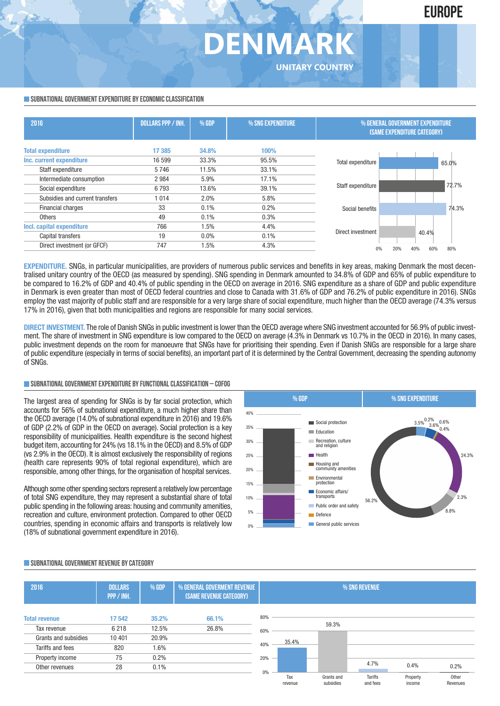## **DENMARK UNITARY COUNTRY**

#### **SUBNATIONAL GOVERNMENT EXPENDITURE BY ECONOMIC CLASSIFICATION**

| 2016                            | <b>DOLLARS PPP / INH.</b> | % GDP | % SNG EXPENDITURE | % GENERAL GOVERNMENT EXPENDITURE<br><b>(SAME EXPENDITURE CATEGORY)</b> |                   |  |
|---------------------------------|---------------------------|-------|-------------------|------------------------------------------------------------------------|-------------------|--|
| <b>Total expenditure</b>        | 17 385                    | 34.8% | 100%              |                                                                        |                   |  |
| Inc. current expenditure        | 16 599                    | 33.3% | 95.5%             | Total expenditure                                                      | 65.0%             |  |
| Staff expenditure               | 5746                      | 11.5% | 33.1%             |                                                                        |                   |  |
| Intermediate consumption        | 2984                      | 5.9%  | 17.1%             |                                                                        |                   |  |
| Social expenditure              | 6793                      | 13.6% | 39.1%             | Staff expenditure                                                      | 72.7%             |  |
| Subsidies and current transfers | 1014                      | 2.0%  | 5.8%              |                                                                        |                   |  |
| <b>Financial charges</b>        | 33                        | 0.1%  | 0.2%              | Social benefits                                                        | 74.3%             |  |
| <b>Others</b>                   | 49                        | 0.1%  | 0.3%              |                                                                        |                   |  |
| Incl. capital expenditure       | 766                       | 1.5%  | 4.4%              |                                                                        |                   |  |
| Capital transfers               | 19                        | 0.0%  | 0.1%              | Direct investment                                                      | 40.4%             |  |
| Direct investment (or GFCF)     | 747                       | 1.5%  | 4.3%              | 20%                                                                    | 80%<br>60%<br>40% |  |

**EXPENDITURE.** SNGs, in particular municipalities, are providers of numerous public services and benefits in key areas, making Denmark the most decentralised unitary country of the OECD (as measured by spending). SNG spending in Denmark amounted to 34.8% of GDP and 65% of public expenditure to be compared to 16.2% of GDP and 40.4% of public spending in the OECD on average in 2016. SNG expenditure as a share of GDP and public expenditure in Denmark is even greater than most of OECD federal countries and close to Canada with 31.6% of GDP and 76.2% of public expenditure in 2016). SNGs employ the vast majority of public staff and are responsible for a very large share of social expenditure, much higher than the OECD average (74.3% versus 17% in 2016), given that both municipalities and regions are responsible for many social services.

**DIRECT INVESTMENT.** The role of Danish SNGs in public investment is lower than the OECD average where SNG investment accounted for 56.9% of public investment. The share of investment in SNG expenditure is low compared to the OECD on average (4.3% in Denmark vs 10.7% in the OECD in 2016). In many cases, public investment depends on the room for manoeuvre that SNGs have for prioritising their spending. Even if Danish SNGs are responsible for a large share of public expenditure (especially in terms of social benefits), an important part of it is determined by the Central Government, decreasing the spending autonomy of SNGs.

#### **SUBNATIONALGOVERNMENTEXPENDITURE BYFUNCTIONALCLASSIFICATION – COFOG**

The largest area of spending for SNGs is by far social protection, which accounts for 56% of subnational expenditure, a much higher share than the OECD average (14.0% of subnational expenditure in 2016) and 19.6% of GDP (2.2% of GDP in the OECD on average). Social protection is a key responsibility of municipalities. Health expenditure is the second highest budget item, accounting for 24% (vs 18.1% in the OECD) and 8.5% of GDP (vs 2.9% in the OECD). It is almost exclusively the responsibility of regions (health care represents 90% of total regional expenditure), which are responsible, among other things, for the organisation of hospital services.

Although some other spending sectors represent a relatively low percentage of total SNG expenditure, they may represent a substantial share of total public spending in the following areas: housing and community amenities, recreation and culture, environment protection. Compared to other OECD countries, spending in economic affairs and transports is relatively low (18% of subnational government expenditure in 2016).

5% 10% 15% 20% 25% 30% 35%  $40<sub>0</sub>$ Social protection **Education Recreation**, culture and religion **Health** Housing and community amenities Environmental protection Economic affairs/ transports **Public order and safety** Defence **General public services** 56.2%  $3.5\% \frac{0.2\%}{3.6\%} 0.6\%$ 24.3% 2.3% 8.8%  **%GDP % SNG EXPENDITURE** 

#### **SUBNATIONALGOVERNMENT REVENUE BYCATEGORY**

| 2016                                     | <b>DOLLARS</b><br>PPP / INH. | % GDP          | % GENERAL GOVERMENT REVENUE<br>(SAME REVENUE CATEGORY) |            | % SNG REVENUE  |                         |                            |                    |                   |
|------------------------------------------|------------------------------|----------------|--------------------------------------------------------|------------|----------------|-------------------------|----------------------------|--------------------|-------------------|
| <b>Total revenue</b><br>Tax revenue      | 17542<br>6 2 1 8             | 35.2%<br>12.5% | 66.1%<br>26.8%                                         | 80%        |                | 59.3%                   |                            |                    |                   |
| Grants and subsidies<br>Tariffs and fees | 10 401<br>820                | 20.9%<br>1.6%  |                                                        | 60%<br>40% | 35.4%          |                         |                            |                    |                   |
| Property income<br>Other revenues        | 75<br>28                     | 0.2%<br>0.1%   |                                                        | 20%        |                |                         | 4.7%                       | 0.4%               | 0.2%              |
|                                          |                              |                |                                                        | 0%         | Tax<br>revenue | Grants and<br>subsidies | <b>Tariffs</b><br>and fees | Property<br>income | Other<br>Revenues |